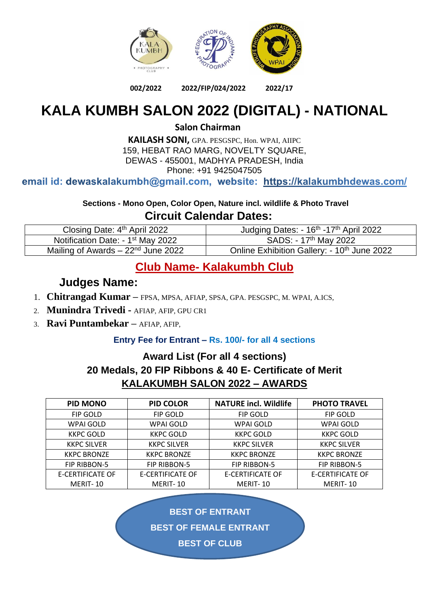

#### **002/2022 2022/FIP/024/2022 2022/17**

# **KALA KUMBH SALON 2022 (DIGITAL) - NATIONAL**

**Salon Chairman**

**KAILASH SONI,** GPA. PESGSPC, Hon. WPAI, AIIPC 159, HEBAT RAO MARG, NOVELTY SQUARE, DEWAS - 455001, MADHYA PRADESH, India [Phone: +91](mailto:dewaskalakumbh@gmail.com) 942504750[5](https://kalakumbhdewas.com/)

email id: dewaskalakumbh@gmail.com, website: https://kalakumbhdewas.com/

**Sections - Mono Open, Color Open, Nature incl. wildlife & Photo Travel Circuit Calendar Dates:**

| Closing Date: 4 <sup>th</sup> April 2022      | Judging Dates: - 16 <sup>th</sup> -17 <sup>th</sup> April 2022 |
|-----------------------------------------------|----------------------------------------------------------------|
| Notification Date: - 1 <sup>st</sup> May 2022 | SADS: - 17 <sup>th</sup> May 2022                              |
| Mailing of Awards $-22nd$ June 2022           | Online Exhibition Gallery: - 10 <sup>th</sup> June 2022        |

## **Club Name- Kalakumbh Club**

### **Judges Name:**

- 1. **Chitrangad Kumar –** FPSA, MPSA, AFIAP, SPSA, GPA. PESGSPC, M. WPAI, A.ICS,
- 2. **Munindra Trivedi -** AFIAP, AFIP, GPU CR1
- 3. **Ravi Puntambekar –** AFIAP, AFIP,

#### **Entry Fee for Entrant – Rs. 100/- for all 4 sections**

### **Award List (For all 4 sections) 20 Medals, 20 FIP Ribbons & 40 E- Certificate of Merit KALAKUMBH SALON 2022 – AWARDS**

| <b>PID MONO</b>         | PID COLOR               | <b>NATURE incl. Wildlife</b> | <b>PHOTO TRAVEL</b>     |
|-------------------------|-------------------------|------------------------------|-------------------------|
| <b>FIP GOLD</b>         | FIP GOLD                | <b>FIP GOLD</b>              | <b>FIP GOLD</b>         |
| WPAI GOLD               | WPAI GOLD               | WPAI GOLD                    | WPAI GOLD               |
| KKPC GOLD               | KKPC GOLD               | KKPC GOLD                    | <b>KKPC GOLD</b>        |
| <b>KKPC SILVER</b>      | <b>KKPC SILVER</b>      | <b>KKPC SILVER</b>           | <b>KKPC SILVER</b>      |
| <b>KKPC BRONZE</b>      | <b>KKPC BRONZE</b>      | <b>KKPC BRONZE</b>           | <b>KKPC BRONZE</b>      |
| FIP RIBBON-5            | <b>FIP RIBBON-5</b>     | <b>FIP RIBBON-5</b>          | FIP RIBBON-5            |
| <b>E-CERTIFICATE OF</b> | <b>E-CERTIFICATE OF</b> | <b>E-CERTIFICATE OF</b>      | <b>E-CERTIFICATE OF</b> |
| MERIT-10                | MERIT-10                | MERIT-10                     | MERIT-10                |

**BEST OF ENTRANT**

**BEST OF FEMALE ENTRANT**

**BEST OF CLUB**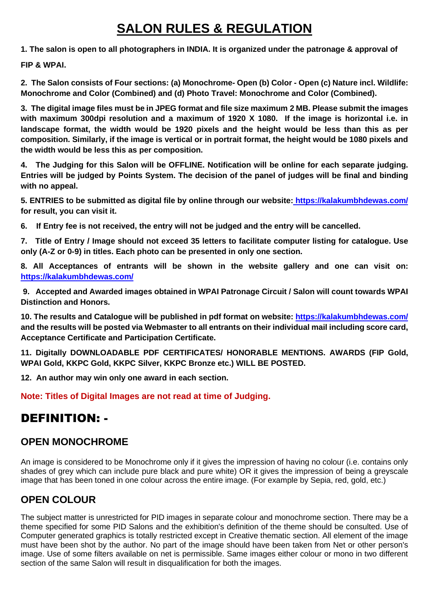# **SALON RULES & REGULATION**

**1. The salon is open to all photographers in INDIA. It is organized under the patronage & approval of** 

**FIP & WPAI.**

**2. The Salon consists of Four sections: (a) Monochrome- Open (b) Color - Open (c) Nature incl. Wildlife: Monochrome and Color (Combined) and (d) Photo Travel: Monochrome and Color (Combined).**

**3. The digital image files must be in JPEG format and file size maximum 2 MB. Please submit the images with maximum 300dpi resolution and a maximum of 1920 X 1080. If the image is horizontal i.e. in landscape format, the width would be 1920 pixels and the height would be less than this as per composition. Similarly, if the image is vertical or in portrait format, the height would be 1080 pixels and the width would be less this as per composition.**

**4. The Judging for this Salon will be OFFLINE. Notification will be online for each separate judging. Entries will be judged by Points System. The decision of the panel of judges will be final and binding with no appeal.**

**5. ENTRIES to be submitted as digital file by online through our website: <https://kalakumbhdewas.com/> for result, you can visit it.**

**6. If Entry fee is not received, the entry will not be judged and the entry will be cancelled.**

**7. Title of Entry / Image should not exceed 35 letters to facilitate computer listing for catalogue. Use only (A-Z or 0-9) in titles. Each photo can be presented in only one section.**

**8. All Acceptances of entrants will be shown in the website gallery and one can visit on: <https://kalakumbhdewas.com/>**

**9. Accepted and Awarded images obtained in WPAI Patronage Circuit / Salon will count towards WPAI Distinction and Honors.**

**10. The results and Catalogue will be published in pdf format on website:<https://kalakumbhdewas.com/> and the results will be posted via Webmaster to all entrants on their individual mail including score card, Acceptance Certificate and Participation Certificate.**

**11. Digitally DOWNLOADABLE PDF CERTIFICATES/ HONORABLE MENTIONS. AWARDS (FIP Gold, WPAI Gold, KKPC Gold, KKPC Silver, KKPC Bronze etc.) WILL BE POSTED.**

**12. An author may win only one award in each section.**

**Note: Titles of Digital Images are not read at time of Judging.**

# DEFINITION: -

### **OPEN MONOCHROME**

An image is considered to be Monochrome only if it gives the impression of having no colour (i.e. contains only shades of grey which can include pure black and pure white) OR it gives the impression of being a greyscale image that has been toned in one colour across the entire image. (For example by Sepia, red, gold, etc.)

## **OPEN COLOUR**

The subject matter is unrestricted for PID images in separate colour and monochrome section. There may be a theme specified for some PID Salons and the exhibition's definition of the theme should be consulted. Use of Computer generated graphics is totally restricted except in Creative thematic section. All element of the image must have been shot by the author. No part of the image should have been taken from Net or other person's image. Use of some filters available on net is permissible. Same images either colour or mono in two different section of the same Salon will result in disqualification for both the images.